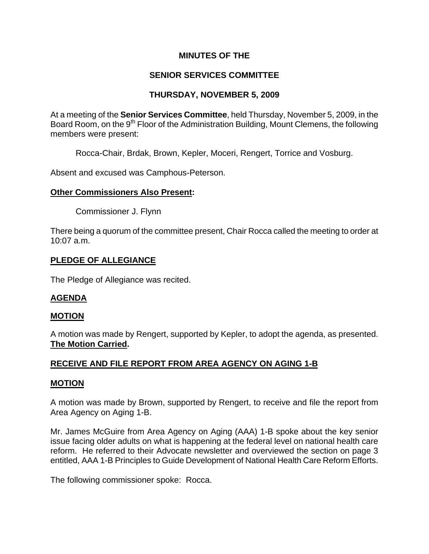# **MINUTES OF THE**

# **SENIOR SERVICES COMMITTEE**

# **THURSDAY, NOVEMBER 5, 2009**

At a meeting of the **Senior Services Committee**, held Thursday, November 5, 2009, in the Board Room, on the 9<sup>th</sup> Floor of the Administration Building, Mount Clemens, the following members were present:

Rocca-Chair, Brdak, Brown, Kepler, Moceri, Rengert, Torrice and Vosburg.

Absent and excused was Camphous-Peterson.

# **Other Commissioners Also Present:**

Commissioner J. Flynn

There being a quorum of the committee present, Chair Rocca called the meeting to order at 10:07 a.m.

# **PLEDGE OF ALLEGIANCE**

The Pledge of Allegiance was recited.

# **AGENDA**

# **MOTION**

A motion was made by Rengert, supported by Kepler, to adopt the agenda, as presented. **The Motion Carried.** 

# **RECEIVE AND FILE REPORT FROM AREA AGENCY ON AGING 1-B**

# **MOTION**

A motion was made by Brown, supported by Rengert, to receive and file the report from Area Agency on Aging 1-B.

Mr. James McGuire from Area Agency on Aging (AAA) 1-B spoke about the key senior issue facing older adults on what is happening at the federal level on national health care reform. He referred to their Advocate newsletter and overviewed the section on page 3 entitled, AAA 1-B Principles to Guide Development of National Health Care Reform Efforts.

The following commissioner spoke: Rocca.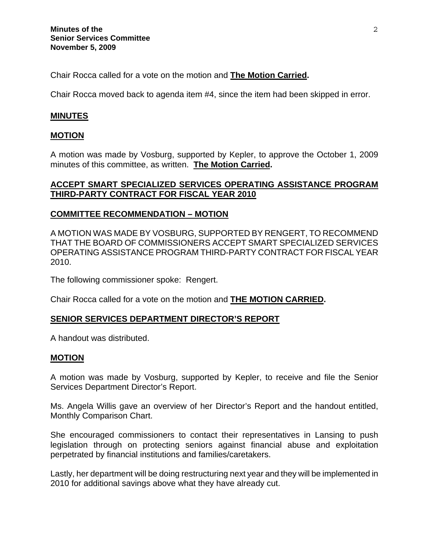Chair Rocca called for a vote on the motion and **The Motion Carried.**

Chair Rocca moved back to agenda item #4, since the item had been skipped in error.

### **MINUTES**

#### **MOTION**

A motion was made by Vosburg, supported by Kepler, to approve the October 1, 2009 minutes of this committee, as written. **The Motion Carried.** 

# **ACCEPT SMART SPECIALIZED SERVICES OPERATING ASSISTANCE PROGRAM THIRD-PARTY CONTRACT FOR FISCAL YEAR 2010**

#### **COMMITTEE RECOMMENDATION – MOTION**

A MOTION WAS MADE BY VOSBURG, SUPPORTED BY RENGERT, TO RECOMMEND THAT THE BOARD OF COMMISSIONERS ACCEPT SMART SPECIALIZED SERVICES OPERATING ASSISTANCE PROGRAM THIRD-PARTY CONTRACT FOR FISCAL YEAR 2010.

The following commissioner spoke: Rengert.

Chair Rocca called for a vote on the motion and **THE MOTION CARRIED.** 

#### **SENIOR SERVICES DEPARTMENT DIRECTOR'S REPORT**

A handout was distributed.

#### **MOTION**

A motion was made by Vosburg, supported by Kepler, to receive and file the Senior Services Department Director's Report.

Ms. Angela Willis gave an overview of her Director's Report and the handout entitled, Monthly Comparison Chart.

She encouraged commissioners to contact their representatives in Lansing to push legislation through on protecting seniors against financial abuse and exploitation perpetrated by financial institutions and families/caretakers.

Lastly, her department will be doing restructuring next year and they will be implemented in 2010 for additional savings above what they have already cut.